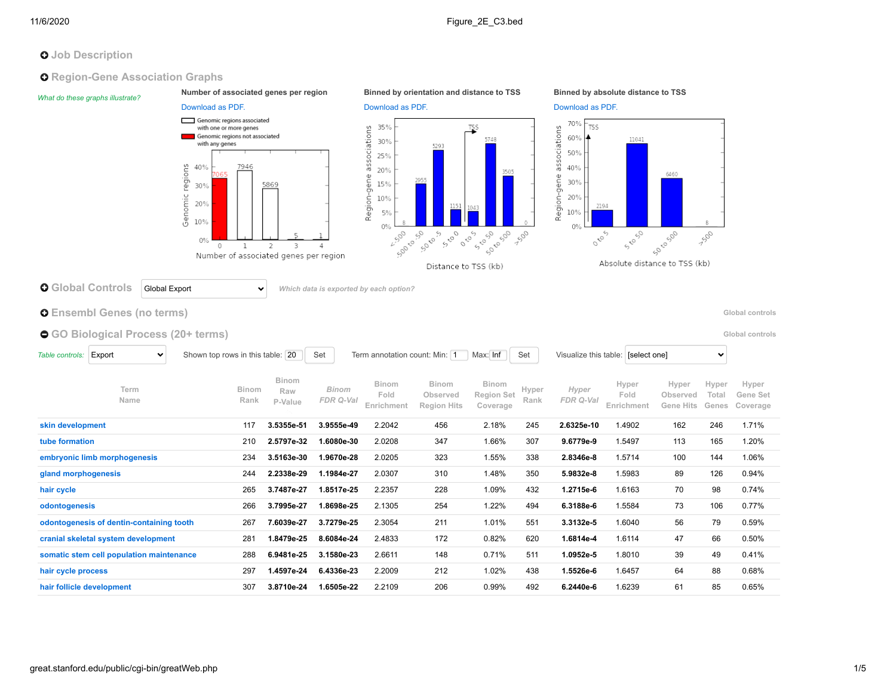# **O** Job Description

## **O** Region-Gene Association Graphs

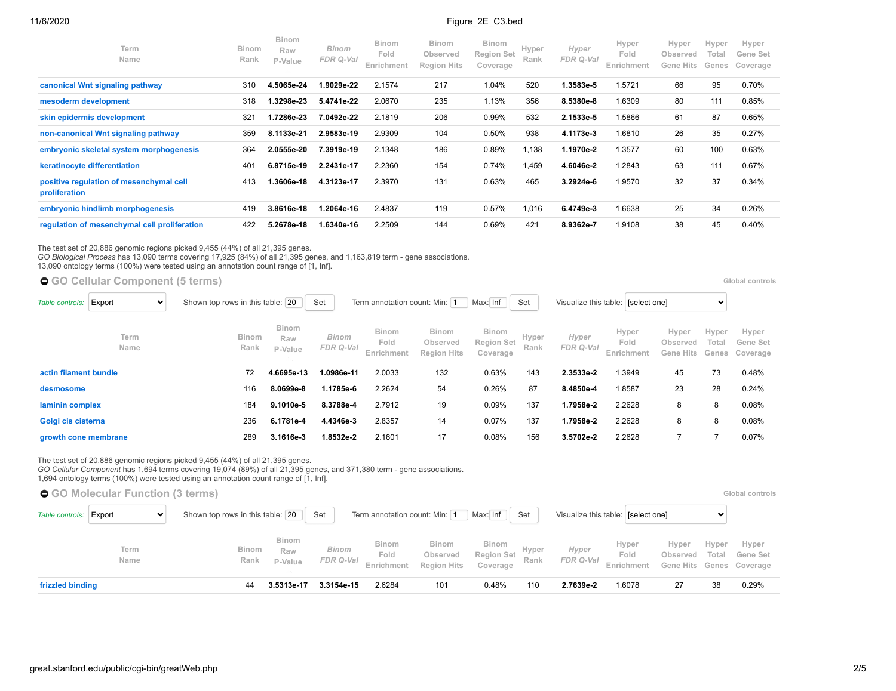## 11/6/2020 **Figure 2E** C3.bed

| Term<br><b>Name</b>                                      | <b>Binom</b><br>Rank | <b>Binom</b><br>Raw<br>P-Value | Binom<br>FDR Q-Val | <b>Binom</b><br>Fold<br>Enrichment | <b>Binom</b><br>Observed<br><b>Region Hits</b> | <b>Binom</b><br><b>Region Set</b><br>Coverage | Hyper<br>Rank | Hyper<br>FDR Q-Val | Hyper<br>Fold<br>Enrichment | Hyper<br>Observed<br>Gene Hits | Hyper<br>Total<br>Genes | Hyper<br>Gene Set<br>Coverage |
|----------------------------------------------------------|----------------------|--------------------------------|--------------------|------------------------------------|------------------------------------------------|-----------------------------------------------|---------------|--------------------|-----------------------------|--------------------------------|-------------------------|-------------------------------|
| canonical Wnt signaling pathway                          | 310                  | 4.5065e-24                     | 1.9029e-22         | 2.1574                             | 217                                            | 1.04%                                         | 520           | 1.3583e-5          | 1.5721                      | 66                             | 95                      | 0.70%                         |
| mesoderm development                                     | 318                  | 1.3298e-23                     | 5.4741e-22         | 2.0670                             | 235                                            | 1.13%                                         | 356           | 8.5380e-8          | 1.6309                      | 80                             | 111                     | 0.85%                         |
| skin epidermis development                               | 321                  | 1.7286e-23                     | 7.0492e-22         | 2.1819                             | 206                                            | 0.99%                                         | 532           | 2.1533e-5          | 1.5866                      | 61                             | 87                      | 0.65%                         |
| non-canonical Wnt signaling pathway                      | 359                  | 8.1133e-21                     | 2.9583e-19         | 2.9309                             | 104                                            | 0.50%                                         | 938           | 4.1173e-3          | 1.6810                      | 26                             | 35                      | 0.27%                         |
| embryonic skeletal system morphogenesis                  | 364                  | 2.0555e-20                     | 7.3919e-19         | 2.1348                             | 186                                            | 0.89%                                         | 1,138         | 1.1970e-2          | 1.3577                      | 60                             | 100                     | 0.63%                         |
| keratinocyte differentiation                             | 401                  | 6.8715e-19                     | 2.2431e-17         | 2.2360                             | 154                                            | 0.74%                                         | .459          | 4.6046e-2          | 1.2843                      | 63                             | 111                     | 0.67%                         |
| positive regulation of mesenchymal cell<br>proliferation | 413                  | 1.3606e-18                     | 4.3123e-17         | 2.3970                             | 131                                            | 0.63%                                         | 465           | 3.2924e-6          | 1.9570                      | 32                             | 37                      | 0.34%                         |
| embryonic hindlimb morphogenesis                         | 419                  | 3.8616e-18                     | 1.2064e-16         | 2.4837                             | 119                                            | 0.57%                                         | 016           | 6.4749e-3          | 1.6638                      | 25                             | 34                      | 0.26%                         |
| regulation of mesenchymal cell proliferation             | 422                  | 5.2678e-18                     | 1.6340e-16         | 2.2509                             | 144                                            | 0.69%                                         | 421           | 8.9362e-7          | 1.9108                      | 38                             | 45                      | 0.40%                         |

The test set of 20,886 genomic regions picked 9,455 (44%) of all 21,395 genes.<br>*GO Biological Process* has 13,090 terms covering 17,925 (84%) of all 21,395 genes, and 1,163,819 term - gene associations.<br>13,090 ontology ter

| ● GO Cellular Component (5 terms)         |                                                                                                                                   |                                |                           |                                    |                                                |                                               |               |                    |                             |                                |                | Global controls                     |
|-------------------------------------------|-----------------------------------------------------------------------------------------------------------------------------------|--------------------------------|---------------------------|------------------------------------|------------------------------------------------|-----------------------------------------------|---------------|--------------------|-----------------------------|--------------------------------|----------------|-------------------------------------|
| Export<br>Table controls:<br>$\checkmark$ | Max: Inf<br>Term annotation count: Min: 1<br>Shown top rows in this table: 20<br>Set<br>Set<br>Visualize this table: [select one] |                                |                           |                                    |                                                |                                               |               |                    |                             |                                | $\checkmark$   |                                     |
| Term<br>Name                              | <b>Binom</b><br>Rank                                                                                                              | <b>Binom</b><br>Raw<br>P-Value | <b>Binom</b><br>FDR Q-Val | <b>Binom</b><br>Fold<br>Enrichment | <b>Binom</b><br>Observed<br><b>Region Hits</b> | <b>Binom</b><br><b>Region Set</b><br>Coverage | Hyper<br>Rank | Hyper<br>FDR Q-Val | Hyper<br>Fold<br>Enrichment | Hyper<br>Observed<br>Gene Hits | Hyper<br>Total | Hyper<br>Gene Set<br>Genes Coverage |
| actin filament bundle                     | 72                                                                                                                                | 4.6695e-13                     | 1.0986e-11                | 2.0033                             | 132                                            | 0.63%                                         | 143           | 2.3533e-2          | 1.3949                      | 45                             | 73             | 0.48%                               |
| desmosome                                 | 116                                                                                                                               | 8.0699e-8                      | 1.1785e-6                 | 2.2624                             | 54                                             | 0.26%                                         | 87            | 8.4850e-4          | 1.8587                      | 23                             | 28             | 0.24%                               |
| laminin complex                           | 184                                                                                                                               | 9.1010e-5                      | 8.3788e-4                 | 2.7912                             | 19                                             | 0.09%                                         | 137           | 1.7958e-2          | 2.2628                      | 8                              | 8              | 0.08%                               |
| Golgi cis cisterna                        | 236                                                                                                                               | 6.1781e-4                      | 4.4346e-3                 | 2.8357                             | 14                                             | 0.07%                                         | 137           | 1.7958e-2          | 2.2628                      | 8                              | 8              | 0.08%                               |
| growth cone membrane                      | 289                                                                                                                               | 3.1616e-3                      | 1.8532e-2                 | 2.1601                             | 17                                             | 0.08%                                         | 156           | 3.5702e-2          | 2.2628                      |                                |                | 0.07%                               |

The test set of 20,886 genomic regions picked 9,455 (44%) of all 21,395 genes. *GO Cellular Component* has 1,694 terms covering 19,074 (89%) of all 21,395 genes, and 371,380 term - gene associations.

1,694 ontology terms (100%) were tested using an annotation count range of [1, Inf].

|                  | ● GO Molecular Function (3 terms) |                                                  |                                                 |                    |                               |                                         |                                        |               |                    |                                    |                   |                | Global controls                               |
|------------------|-----------------------------------|--------------------------------------------------|-------------------------------------------------|--------------------|-------------------------------|-----------------------------------------|----------------------------------------|---------------|--------------------|------------------------------------|-------------------|----------------|-----------------------------------------------|
| Table controls:  | Export                            | Shown top rows in this table: 20<br>$\checkmark$ |                                                 | Set                | Term annotation count: Min: 1 |                                         | Max: Inf                               | Set           |                    | Visualize this table: [select one] |                   |                |                                               |
|                  | Term<br>Name                      |                                                  | <b>Binom</b><br>Binom<br>Raw<br>Rank<br>P-Value | Binom<br>FDR Q-Val | Binom<br>Fold<br>Enrichment   | Binom<br>Observed<br><b>Region Hits</b> | Binom<br><b>Region Set</b><br>Coverage | Hyper<br>Rank | Hyper<br>FDR Q-Val | Hyper<br>Fold<br>Enrichment        | Hyper<br>Observed | Hyper<br>Total | Hyper<br>Gene Set<br>Gene Hits Genes Coverage |
| frizzled binding |                                   |                                                  | 3.5313e-17<br>44                                | 3.3154e-15         | 2.6284                        | 101                                     | 0.48%                                  | 110           | 2.7639e-2          | 1.6078                             | 27                | 38             | 0.29%                                         |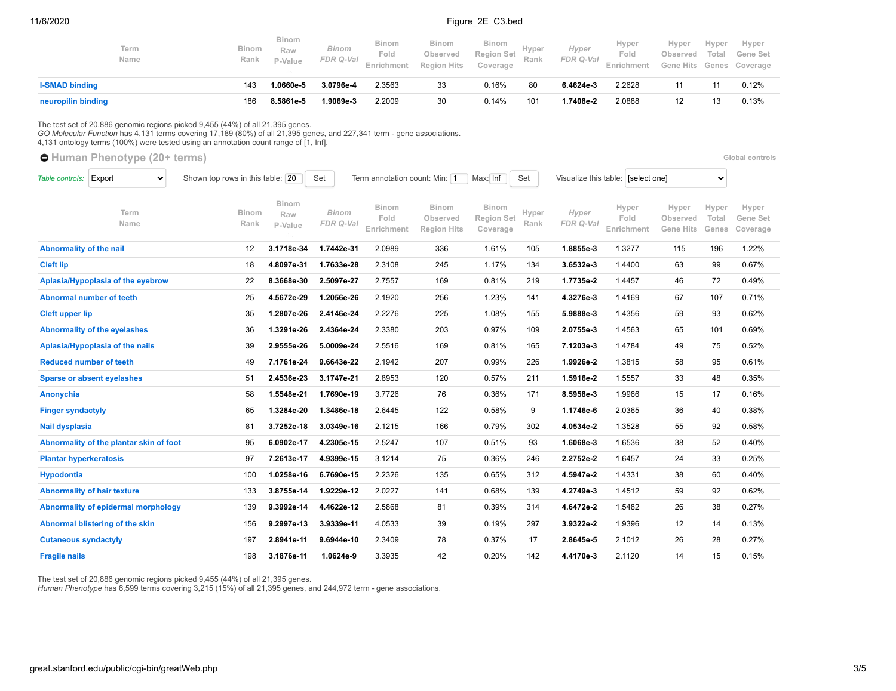### 11/6/2020 Figure 2E C3.bed

|                         | Term<br>Name                         |                                                                                                                                                                                                                                                                                                  | <b>Binom</b><br>Rank | <b>Binom</b><br>Raw<br>P-Value | <b>Binom</b><br>FDR Q-Val | <b>Binom</b><br>Fold<br>Enrichment | <b>Binom</b><br>Observed<br><b>Region Hits</b> | <b>Binom</b><br><b>Region Set</b><br>Coverage | Hyper<br>Rank | Hyper<br>FDR Q-Val | Hyper<br>Fold<br>Enrichment        | Hyper<br>Observed<br>Gene<br>Hits        | Hyper<br>Total<br>Genes | Hyper<br>Gene Set<br>Coverage |
|-------------------------|--------------------------------------|--------------------------------------------------------------------------------------------------------------------------------------------------------------------------------------------------------------------------------------------------------------------------------------------------|----------------------|--------------------------------|---------------------------|------------------------------------|------------------------------------------------|-----------------------------------------------|---------------|--------------------|------------------------------------|------------------------------------------|-------------------------|-------------------------------|
| <b>I-SMAD binding</b>   |                                      |                                                                                                                                                                                                                                                                                                  | 143                  | 1.0660e-5                      | 3.0796e-4                 | 2.3563                             | 33                                             | 0.16%                                         | 80            | 6.4624e-3          | 2.2628                             | 11                                       | 11                      | 0.12%                         |
| neuropilin binding      |                                      |                                                                                                                                                                                                                                                                                                  | 186                  | 8.5861e-5                      | 1.9069e-3                 | 2.2009                             | 30                                             | 0.14%                                         | 101           | 1.7408e-2          | 2.0888                             | 12                                       | 13                      | 0.13%                         |
|                         | <b>O</b> Human Phenotype (20+ terms) | The test set of 20,886 genomic regions picked 9,455 (44%) of all 21,395 genes.<br>GO Molecular Function has 4,131 terms covering 17,189 (80%) of all 21,395 genes, and 227,341 term - gene associations.<br>4,131 ontology terms (100%) were tested using an annotation count range of [1, lnf]. |                      |                                |                           |                                    |                                                |                                               |               |                    |                                    |                                          |                         | Global controls               |
| Table controls:         | Export<br>$\checkmark$               | Shown top rows in this table: 20                                                                                                                                                                                                                                                                 |                      |                                | Set                       | Term annotation count: Min: 1      |                                                | Max: Inf                                      | Set           |                    | Visualize this table: [select one] |                                          | $\checkmark$            |                               |
|                         | Term<br>Name                         |                                                                                                                                                                                                                                                                                                  | <b>Binom</b><br>Rank | <b>Binom</b><br>Raw<br>P-Value | <b>Binom</b><br>FDR Q-Val | <b>Binom</b><br>Fold<br>Enrichment | <b>Binom</b><br>Observed<br><b>Region Hits</b> | <b>Binom</b><br><b>Region Set</b><br>Coverage | Hyper<br>Rank | Hyper<br>FDR Q-Val | Hyper<br>Fold<br>Enrichment        | Hyper<br>Observed<br><b>Hits</b><br>Gene | Hyper<br>Total<br>Genes | Hyper<br>Gene Set<br>Coverage |
| Abnormality of the nail |                                      |                                                                                                                                                                                                                                                                                                  | 12                   | 3.1718e-34                     | 1.7442e-31                | 2.0989                             | 336                                            | 1.61%                                         | 105           | 1.8855e-3          | 1.3277                             | 115                                      | 196                     | 1.22%                         |

**[Cleft lip](http://great.stanford.edu/public/cgi-bin/showTermDetails.php?termId=HP:0410030&ontoName=HumanPhenotypeOntology&species=mm10&ontoUiName=Human%20Phenotype&foreName=Figure_2E_C3.bed&backName=&sessionName=20201106-public-4.0.4-rwZ3OV)** 18 **4.8097e-31 1.7633e-28** 2.3108 245 1.17% 134 **3.6532e-3** 1.4400 63 99 0.67% **[Aplasia/Hypoplasia of the eyebrow](http://great.stanford.edu/public/cgi-bin/showTermDetails.php?termId=HP:0100840&ontoName=HumanPhenotypeOntology&species=mm10&ontoUiName=Human%20Phenotype&foreName=Figure_2E_C3.bed&backName=&sessionName=20201106-public-4.0.4-rwZ3OV)** 22 **8.3668e-30 2.5097e-27** 2.7557 169 0.81% 219 **1.7735e-2** 1.4457 46 72 0.49% **[Abnormal number of teeth](http://great.stanford.edu/public/cgi-bin/showTermDetails.php?termId=HP:0006483&ontoName=HumanPhenotypeOntology&species=mm10&ontoUiName=Human%20Phenotype&foreName=Figure_2E_C3.bed&backName=&sessionName=20201106-public-4.0.4-rwZ3OV)** 25 **4.5672e-29 1.2056e-26** 2.1920 256 1.23% 141 **4.3276e-3** 1.4169 67 107 0.71% **[Cleft upper lip](http://great.stanford.edu/public/cgi-bin/showTermDetails.php?termId=HP:0000204&ontoName=HumanPhenotypeOntology&species=mm10&ontoUiName=Human%20Phenotype&foreName=Figure_2E_C3.bed&backName=&sessionName=20201106-public-4.0.4-rwZ3OV)** 35 **1.2807e-26 2.4146e-24** 2.2276 225 1.08% 155 **5.9888e-3** 1.4356 59 93 0.62% **[Abnormality of the eyelashes](http://great.stanford.edu/public/cgi-bin/showTermDetails.php?termId=HP:0000499&ontoName=HumanPhenotypeOntology&species=mm10&ontoUiName=Human%20Phenotype&foreName=Figure_2E_C3.bed&backName=&sessionName=20201106-public-4.0.4-rwZ3OV)** 36 **1.3291e-26 2.4364e-24** 2.3380 203 0.97% 109 **2.0755e-3** 1.4563 65 101 0.69% **[Aplasia/Hypoplasia of the nails](http://great.stanford.edu/public/cgi-bin/showTermDetails.php?termId=HP:0008386&ontoName=HumanPhenotypeOntology&species=mm10&ontoUiName=Human%20Phenotype&foreName=Figure_2E_C3.bed&backName=&sessionName=20201106-public-4.0.4-rwZ3OV)** 39 **2.9555e-26 5.0009e-24** 2.5516 169 0.81% 165 **7.1203e-3** 1.4784 49 75 0.52% **[Reduced number of teeth](http://great.stanford.edu/public/cgi-bin/showTermDetails.php?termId=HP:0009804&ontoName=HumanPhenotypeOntology&species=mm10&ontoUiName=Human%20Phenotype&foreName=Figure_2E_C3.bed&backName=&sessionName=20201106-public-4.0.4-rwZ3OV)** 49 **7.1761e-24 9.6643e-22** 2.1942 207 0.99% 226 **1.9926e-2** 1.3815 58 95 0.61% **[Sparse or absent eyelashes](http://great.stanford.edu/public/cgi-bin/showTermDetails.php?termId=HP:0200102&ontoName=HumanPhenotypeOntology&species=mm10&ontoUiName=Human%20Phenotype&foreName=Figure_2E_C3.bed&backName=&sessionName=20201106-public-4.0.4-rwZ3OV)** 51 **2.4536e-23 3.1747e-21** 2.8953 120 0.57% 211 **1.5916e-2** 1.5557 33 48 0.35% **[Anonychia](http://great.stanford.edu/public/cgi-bin/showTermDetails.php?termId=HP:0001798&ontoName=HumanPhenotypeOntology&species=mm10&ontoUiName=Human%20Phenotype&foreName=Figure_2E_C3.bed&backName=&sessionName=20201106-public-4.0.4-rwZ3OV)** 58 **1.5548e-21 1.7690e-19** 3.7726 76 0.36% 171 **8.5958e-3** 1.9966 15 17 0.16% **[Finger syndactyly](http://great.stanford.edu/public/cgi-bin/showTermDetails.php?termId=HP:0006101&ontoName=HumanPhenotypeOntology&species=mm10&ontoUiName=Human%20Phenotype&foreName=Figure_2E_C3.bed&backName=&sessionName=20201106-public-4.0.4-rwZ3OV)** 65 **1.3284e-20 1.3486e-18** 2.6445 122 0.58% 9 **1.1746e-6** 2.0365 36 40 0.38% **[Nail dysplasia](http://great.stanford.edu/public/cgi-bin/showTermDetails.php?termId=HP:0002164&ontoName=HumanPhenotypeOntology&species=mm10&ontoUiName=Human%20Phenotype&foreName=Figure_2E_C3.bed&backName=&sessionName=20201106-public-4.0.4-rwZ3OV)** 81 **3.7252e-18 3.0349e-16** 2.1215 166 0.79% 302 **4.0534e-2** 1.3528 55 92 0.58% **[Abnormality of the plantar skin of foot](http://great.stanford.edu/public/cgi-bin/showTermDetails.php?termId=HP:0100872&ontoName=HumanPhenotypeOntology&species=mm10&ontoUiName=Human%20Phenotype&foreName=Figure_2E_C3.bed&backName=&sessionName=20201106-public-4.0.4-rwZ3OV)** 95 **6.0902e-17 4.2305e-15** 2.5247 107 0.51% 93 **1.6068e-3** 1.6536 38 52 0.40% **[Plantar hyperkeratosis](http://great.stanford.edu/public/cgi-bin/showTermDetails.php?termId=HP:0007556&ontoName=HumanPhenotypeOntology&species=mm10&ontoUiName=Human%20Phenotype&foreName=Figure_2E_C3.bed&backName=&sessionName=20201106-public-4.0.4-rwZ3OV)** 97 **7.2613e-17 4.9399e-15** 3.1214 75 0.36% 246 **2.2752e-2** 1.6457 24 33 0.25% **[Hypodontia](http://great.stanford.edu/public/cgi-bin/showTermDetails.php?termId=HP:0000668&ontoName=HumanPhenotypeOntology&species=mm10&ontoUiName=Human%20Phenotype&foreName=Figure_2E_C3.bed&backName=&sessionName=20201106-public-4.0.4-rwZ3OV)** 100 **1.0258e-16 6.7690e-15** 2.2326 135 0.65% 312 **4.5947e-2** 1.4331 38 60 0.40% **[Abnormality of hair texture](http://great.stanford.edu/public/cgi-bin/showTermDetails.php?termId=HP:0010719&ontoName=HumanPhenotypeOntology&species=mm10&ontoUiName=Human%20Phenotype&foreName=Figure_2E_C3.bed&backName=&sessionName=20201106-public-4.0.4-rwZ3OV)** 133 **3.8755e-14 1.9229e-12** 2.0227 141 0.68% 139 **4.2749e-3** 1.4512 59 92 0.62% **[Abnormality of epidermal morphology](http://great.stanford.edu/public/cgi-bin/showTermDetails.php?termId=HP:0011124&ontoName=HumanPhenotypeOntology&species=mm10&ontoUiName=Human%20Phenotype&foreName=Figure_2E_C3.bed&backName=&sessionName=20201106-public-4.0.4-rwZ3OV)** 139 **9.3992e-14 4.4622e-12** 2.5868 81 0.39% 314 **4.6472e-2** 1.5482 26 38 0.27% **[Abnormal blistering of the skin](http://great.stanford.edu/public/cgi-bin/showTermDetails.php?termId=HP:0008066&ontoName=HumanPhenotypeOntology&species=mm10&ontoUiName=Human%20Phenotype&foreName=Figure_2E_C3.bed&backName=&sessionName=20201106-public-4.0.4-rwZ3OV)** 156 **9.2997e-13 3.9339e-11** 4.0533 39 0.19% 297 **3.9322e-2** 1.9396 12 14 0.13% **[Cutaneous syndactyly](http://great.stanford.edu/public/cgi-bin/showTermDetails.php?termId=HP:0012725&ontoName=HumanPhenotypeOntology&species=mm10&ontoUiName=Human%20Phenotype&foreName=Figure_2E_C3.bed&backName=&sessionName=20201106-public-4.0.4-rwZ3OV)** 197 **2.8941e-11 9.6944e-10** 2.3409 78 0.37% 17 **2.8645e-5** 2.1012 26 28 0.27% **[Fragile nails](http://great.stanford.edu/public/cgi-bin/showTermDetails.php?termId=HP:0001808&ontoName=HumanPhenotypeOntology&species=mm10&ontoUiName=Human%20Phenotype&foreName=Figure_2E_C3.bed&backName=&sessionName=20201106-public-4.0.4-rwZ3OV)** 198 **3.1876e-11 1.0624e-9** 3.3935 42 0.20% 142 **4.4170e-3** 2.1120 14 15 0.15%

The test set of 20,886 genomic regions picked 9,455 (44%) of all 21,395 genes.

*Human Phenotype* has 6,599 terms covering 3,215 (15%) of all 21,395 genes, and 244,972 term - gene associations.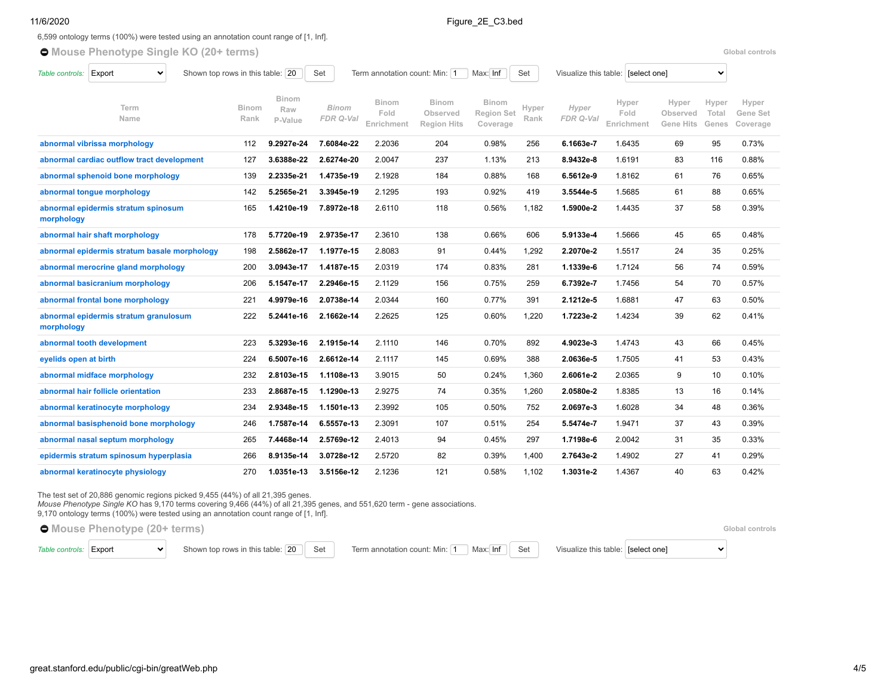$\sqrt{2}$ 

## 11/6/2020 Figure 2E C3.bed

6,599 ontology terms (100%) were tested using an annotation count range of [1, Inf].

 $\bullet$  [Mouse Phenotype Single KO](https://great-help.atlassian.net/wiki/spaces/GREAT/Mouse+Phenotype+Single+KO) (20+ terms) **Global controls Global controls Global controls** 

| Table controls:       | Export<br>$\checkmark$                       | Shown top rows in this table: 20 |                                | Set                |                                    | Term annotation count: Min: 1<br>Max: Inf<br>Set |                                               |               | Visualize this table: [select one]<br>$\checkmark$ |                             |                                |                         |                               |
|-----------------------|----------------------------------------------|----------------------------------|--------------------------------|--------------------|------------------------------------|--------------------------------------------------|-----------------------------------------------|---------------|----------------------------------------------------|-----------------------------|--------------------------------|-------------------------|-------------------------------|
|                       | Term<br>Name                                 | <b>Binom</b><br>Rank             | <b>Binom</b><br>Raw<br>P-Value | Binom<br>FDR Q-Val | <b>Binom</b><br>Fold<br>Enrichment | <b>Binom</b><br>Observed<br><b>Region Hits</b>   | <b>Binom</b><br><b>Region Set</b><br>Coverage | Hyper<br>Rank | Hyper<br>FDR Q-Val                                 | Hyper<br>Fold<br>Enrichment | Hyper<br>Observed<br>Gene Hits | Hyper<br>Total<br>Genes | Hyper<br>Gene Set<br>Coverage |
|                       | abnormal vibrissa morphology                 | 112                              | 9.2927e-24                     | 7.6084e-22         | 2.2036                             | 204                                              | 0.98%                                         | 256           | 6.1663e-7                                          | 1.6435                      | 69                             | 95                      | 0.73%                         |
|                       | abnormal cardiac outflow tract development   | 127                              | 3.6388e-22                     | 2.6274e-20         | 2.0047                             | 237                                              | 1.13%                                         | 213           | 8.9432e-8                                          | 1.6191                      | 83                             | 116                     | 0.88%                         |
|                       | abnormal sphenoid bone morphology            | 139                              | 2.2335e-21                     | 1.4735e-19         | 2.1928                             | 184                                              | 0.88%                                         | 168           | 6.5612e-9                                          | 1.8162                      | 61                             | 76                      | 0.65%                         |
|                       | abnormal tongue morphology                   | 142                              | 5.2565e-21                     | 3.3945e-19         | 2.1295                             | 193                                              | 0.92%                                         | 419           | 3.5544e-5                                          | 1.5685                      | 61                             | 88                      | 0.65%                         |
| morphology            | abnormal epidermis stratum spinosum          | 165                              | 1.4210e-19                     | 7.8972e-18         | 2.6110                             | 118                                              | 0.56%                                         | 1,182         | 1.5900e-2                                          | 1.4435                      | 37                             | 58                      | 0.39%                         |
|                       | abnormal hair shaft morphology               | 178                              | 5.7720e-19                     | 2.9735e-17         | 2.3610                             | 138                                              | 0.66%                                         | 606           | 5.9133e-4                                          | 1.5666                      | 45                             | 65                      | 0.48%                         |
|                       | abnormal epidermis stratum basale morphology | 198                              | 2.5862e-17                     | 1.1977e-15         | 2.8083                             | 91                                               | 0.44%                                         | 1,292         | 2.2070e-2                                          | 1.5517                      | 24                             | 35                      | 0.25%                         |
|                       | abnormal merocrine gland morphology          | 200                              | 3.0943e-17                     | 1.4187e-15         | 2.0319                             | 174                                              | 0.83%                                         | 281           | 1.1339e-6                                          | 1.7124                      | 56                             | 74                      | 0.59%                         |
|                       | abnormal basicranium morphology              | 206                              | 5.1547e-17                     | 2.2946e-15         | 2.1129                             | 156                                              | 0.75%                                         | 259           | 6.7392e-7                                          | 1.7456                      | 54                             | 70                      | 0.57%                         |
|                       | abnormal frontal bone morphology             | 221                              | 4.9979e-16                     | 2.0738e-14         | 2.0344                             | 160                                              | 0.77%                                         | 391           | 2.1212e-5                                          | 1.6881                      | 47                             | 63                      | 0.50%                         |
| morphology            | abnormal epidermis stratum granulosum        | 222                              | 5.2441e-16                     | 2.1662e-14         | 2.2625                             | 125                                              | 0.60%                                         | 1,220         | 1.7223e-2                                          | 1.4234                      | 39                             | 62                      | 0.41%                         |
|                       | abnormal tooth development                   | 223                              | 5.3293e-16                     | 2.1915e-14         | 2.1110                             | 146                                              | 0.70%                                         | 892           | 4.9023e-3                                          | 1.4743                      | 43                             | 66                      | 0.45%                         |
| eyelids open at birth |                                              | 224                              | 6.5007e-16                     | 2.6612e-14         | 2.1117                             | 145                                              | 0.69%                                         | 388           | 2.0636e-5                                          | 1.7505                      | 41                             | 53                      | 0.43%                         |
|                       | abnormal midface morphology                  | 232                              | 2.8103e-15                     | 1.1108e-13         | 3.9015                             | 50                                               | 0.24%                                         | 1,360         | 2.6061e-2                                          | 2.0365                      | 9                              | 10                      | 0.10%                         |
|                       | abnormal hair follicle orientation           | 233                              | 2.8687e-15                     | 1.1290e-13         | 2.9275                             | 74                                               | 0.35%                                         | 1,260         | 2.0580e-2                                          | 1.8385                      | 13                             | 16                      | 0.14%                         |
|                       | abnormal keratinocyte morphology             | 234                              | 2.9348e-15                     | 1.1501e-13         | 2.3992                             | 105                                              | 0.50%                                         | 752           | 2.0697e-3                                          | 1.6028                      | 34                             | 48                      | 0.36%                         |
|                       | abnormal basisphenoid bone morphology        | 246                              | 1.7587e-14                     | 6.5557e-13         | 2.3091                             | 107                                              | 0.51%                                         | 254           | 5.5474e-7                                          | 1.9471                      | 37                             | 43                      | 0.39%                         |
|                       | abnormal nasal septum morphology             | 265                              | 7.4468e-14                     | 2.5769e-12         | 2.4013                             | 94                                               | 0.45%                                         | 297           | 1.7198e-6                                          | 2.0042                      | 31                             | 35                      | 0.33%                         |
|                       | epidermis stratum spinosum hyperplasia       | 266                              | 8.9135e-14                     | 3.0728e-12         | 2.5720                             | 82                                               | 0.39%                                         | 1.400         | 2.7643e-2                                          | 1.4902                      | 27                             | 41                      | 0.29%                         |
|                       | abnormal keratinocyte physiology             | 270                              | 1.0351e-13                     | 3.5156e-12         | 2.1236                             | 121                                              | 0.58%                                         | 1,102         | 1.3031e-2                                          | 1.4367                      | 40                             | 63                      | 0.42%                         |

The test set of 20,886 genomic regions picked 9,455 (44%) of all 21,395 genes.

*Mouse Phenotype Single KO* has 9,170 terms covering 9,466 (44%) of all 21,395 genes, and 551,620 term - gene associations.

9,170 ontology terms (100%) were tested using an annotation count range of [1, Inf].

 $\bullet$  [Mouse Phenotype](https://great-help.atlassian.net/wiki/spaces/GREAT/Mouse+Phenotype) (20+ terms) **Slobal controls Global controls Global controls** 

[Table controls:](https://great-help.atlassian.net/wiki/spaces/GREAT/pages/655462/Output#Output-OntologyTableControls) Export v Shown top rows in this table: 20 Set Term annotation count: Min: 1 Max: Inf Set Visualize this table: [select one]

 $\ddot{\phantom{1}}$